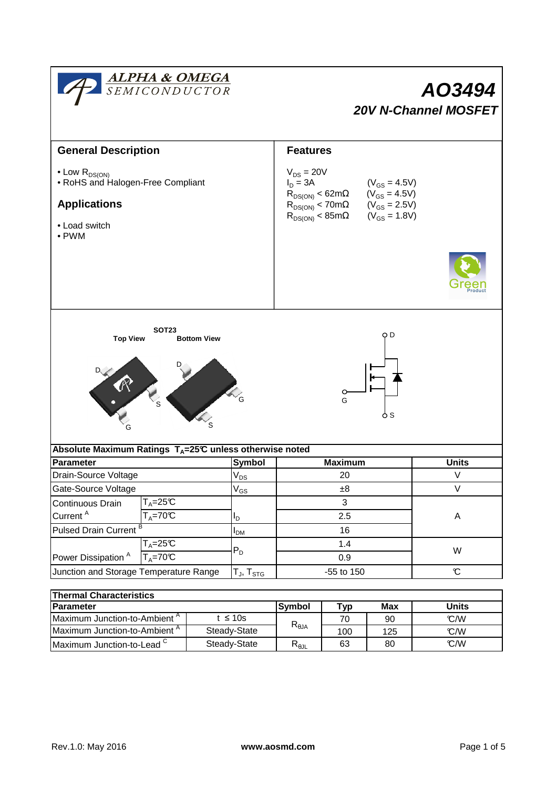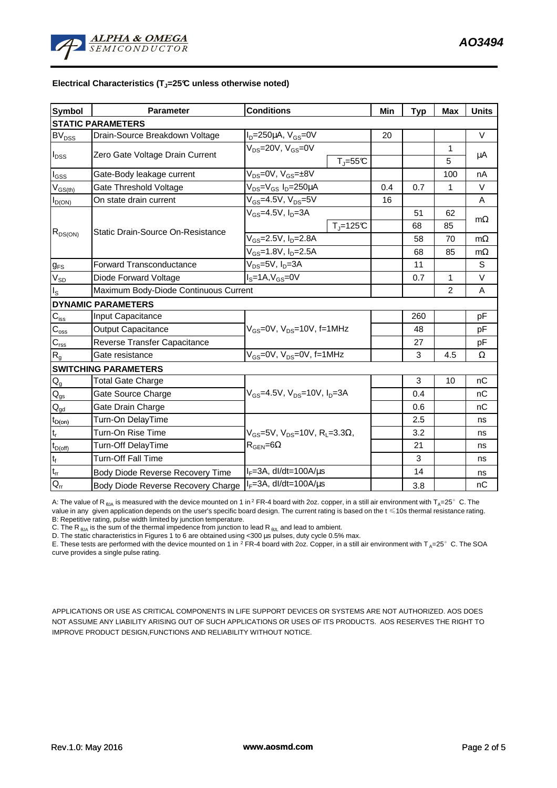## **Electrical Characteristics (TJ=25°C unless otherwise noted)**

| <b>Symbol</b>                | <b>Parameter</b>                      | <b>Conditions</b>                                                                         |                                  | Min | <b>Typ</b> | <b>Max</b>     | <b>Units</b> |
|------------------------------|---------------------------------------|-------------------------------------------------------------------------------------------|----------------------------------|-----|------------|----------------|--------------|
| <b>STATIC PARAMETERS</b>     |                                       |                                                                                           |                                  |     |            |                |              |
| $BV_{DSS}$                   | Drain-Source Breakdown Voltage        | $I_D = 250 \mu A$ , $V_{GS} = 0V$                                                         |                                  | 20  |            |                | $\vee$       |
| $I_{DSS}$                    | Zero Gate Voltage Drain Current       | $V_{DS}$ =20V, $V_{GS}$ =0V                                                               |                                  |     |            | 1              |              |
|                              |                                       |                                                                                           | $T_J = 55C$                      |     |            | 5              | μA           |
| $I_{GS}$                     | Gate-Body leakage current             | $V_{DS} = 0V$ , $V_{GS} = \pm 8V$                                                         |                                  |     |            | 100            | nA           |
| $V_{GS(th)}$                 | Gate Threshold Voltage                | $V_{DS} = V_{GS} I_D = 250 \mu A$                                                         |                                  | 0.4 | 0.7        | 1              | $\vee$       |
| $I_{D(ON)}$                  | On state drain current                | $V_{GS} = 4.5V$ , $V_{DS} = 5V$                                                           |                                  | 16  |            |                | A            |
| $R_{DS(ON)}$                 | Static Drain-Source On-Resistance     | $V_{GS}$ =4.5V, $I_D$ =3A                                                                 |                                  |     | 51         | 62             | $m\Omega$    |
|                              |                                       |                                                                                           | $T_J = 125C$                     |     | 68         | 85             |              |
|                              |                                       | $V_{GS}$ =2.5V, $I_{D}$ =2.8A                                                             |                                  |     | 58         | 70             | $m\Omega$    |
|                              |                                       | $V_{GS}$ =1.8V, $I_{D}$ =2.5A                                                             |                                  |     | 68         | 85             | $m\Omega$    |
| $g_{FS}$                     | <b>Forward Transconductance</b>       | $V_{DS}=5V$ , $I_D=3A$                                                                    |                                  |     | 11         |                | S            |
| $V_{SD}$                     | Diode Forward Voltage                 | $IS=1A, VGS=0V$                                                                           |                                  |     | 0.7        | 1              | $\vee$       |
| $I_{\rm S}$                  | Maximum Body-Diode Continuous Current |                                                                                           |                                  |     |            | $\overline{2}$ | A            |
|                              | <b>DYNAMIC PARAMETERS</b>             |                                                                                           |                                  |     |            |                |              |
| $C_{\text{iss}}$             | Input Capacitance                     | $V_{GS}$ =0V, $V_{DS}$ =10V, f=1MHz                                                       |                                  |     | 260        |                | pF           |
| $C_{\underline{\text{oss}}}$ | <b>Output Capacitance</b>             |                                                                                           |                                  |     | 48         |                | pF           |
| $C_{\rm rss}$                | Reverse Transfer Capacitance          |                                                                                           |                                  |     | 27         |                | pF           |
| $R_{g}$                      | Gate resistance                       | $V_{GS}$ =0V, $V_{DS}$ =0V, f=1MHz                                                        |                                  |     | 3          | 4.5            | Ω            |
|                              | <b>SWITCHING PARAMETERS</b>           |                                                                                           |                                  |     |            |                |              |
| $\mathsf{Q}_{\mathsf{g}}$    | <b>Total Gate Charge</b>              | $V_{GS}$ =4.5V, $V_{DS}$ =10V, $I_D$ =3A                                                  |                                  |     | 3          | 10             | nC           |
| $\mathsf{Q}_{\mathsf{gs}}$   | Gate Source Charge                    |                                                                                           |                                  |     | 0.4        |                | nC           |
| $\mathsf{Q}_{\mathsf{gd}}$   | Gate Drain Charge                     |                                                                                           |                                  |     | 0.6        |                | nC           |
| $t_{D(on)}$                  | Turn-On DelayTime                     | $V_{GS}$ =5V, $V_{DS}$ =10V, R <sub>L</sub> =3.3 $\Omega$ ,<br>$R_{\text{GEN}} = 6\Omega$ |                                  |     | 2.5        |                | ns           |
| $t_r$                        | Turn-On Rise Time                     |                                                                                           |                                  |     | 3.2        |                | ns           |
| $t_{D(off)}$                 | <b>Turn-Off DelayTime</b>             |                                                                                           |                                  |     | 21         |                | ns           |
| $\mathsf{t}_{\mathsf{f}}$    | <b>Turn-Off Fall Time</b>             |                                                                                           |                                  |     | 3          |                | ns           |
| $t_{rr}$                     | Body Diode Reverse Recovery Time      | $I_F = 3A$ , dl/dt=100A/ $\mu$ s                                                          |                                  |     | 14         |                | ns           |
| $Q_{rr}$                     | Body Diode Reverse Recovery Charge    |                                                                                           | $I_F = 3A$ , dl/dt=100A/ $\mu$ s |     | 3.8        |                | nC           |

A: The value of R<sub>6JA</sub> is measured with the device mounted on 1 in<sup>2</sup> FR-4 board with 2oz. copper, in a still air environment with T<sub>A</sub>=25°C. The value in any given application depends on the user's specific board design. The current rating is based on the t ≤10s thermal resistance rating. B: Repetitive rating, pulse width limited by junction temperature.

C. The R<sub>θJA</sub> is the sum of the thermal impedence from junction to lead R<sub>θJL</sub> and lead to ambient.

D. The static characteristics in Figures 1 to 6 are obtained using <300 µs pulses, duty cycle 0.5% max.

E. These tests are performed with the device mounted on 1 in <sup>2</sup> FR-4 board with 2oz. Copper, in a still air environment with T<sub>A</sub>=25°C. The SOA<br>Curve provides a single pulse rating curve provides a single pulse rating.

APPLICATIONS OR USE AS CRITICAL COMPONENTS IN LIFE SUPPORT DEVICES OR SYSTEMS ARE NOT AUTHORIZED. AOS DOES NOT ASSUME ANY LIABILITY ARISING OUT OF SUCH APPLICATIONS OR USES OF ITS PRODUCTS. AOS RESERVES THE RIGHT TO IMPROVE PRODUCT DESIGN,FUNCTIONS AND RELIABILITY WITHOUT NOTICE.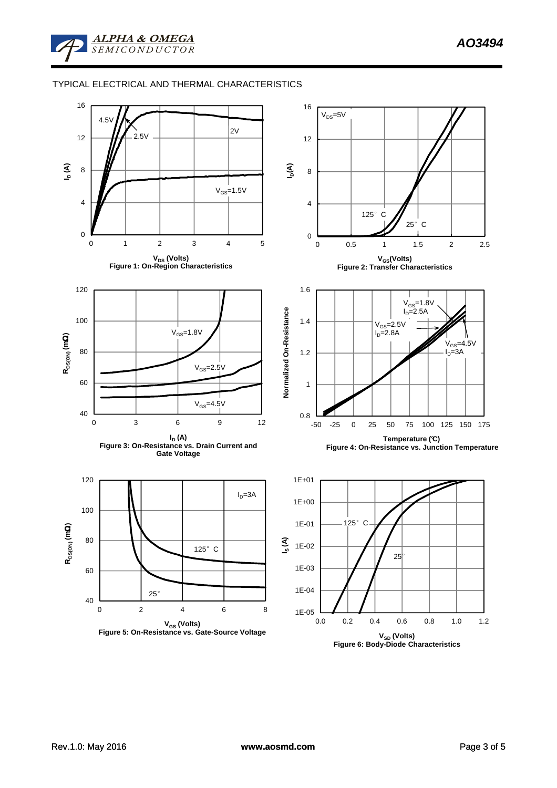## TYPICAL ELECTRICAL AND THERMAL CHARACTERISTICS



**VSD (Volts) Figure 6: Body-Diode Characteristics**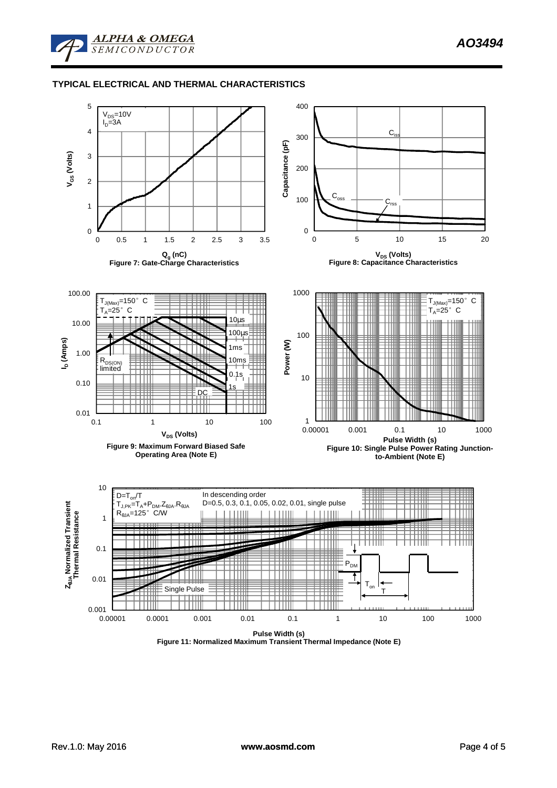

## **TYPICAL ELECTRICAL AND THERMAL CHARACTERISTICS**



**Figure 11: Normalized Maximum Transient Thermal Impedance (Note E)**